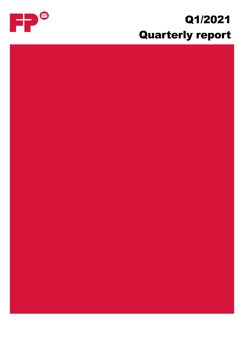# Q1/2021 Quarterly report

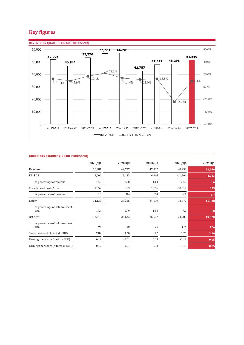# **Key figures**



### **GROUP KEY FIGURES (IN EUR THOUSAND)**

|                                         | 2020/Q1 | 2020/Q2 | 2020/Q3 | 2020/Q4   | 2021/01 |
|-----------------------------------------|---------|---------|---------|-----------|---------|
| Revenue                                 | 56,981  | 42,757  | 47,817  | 48,298    | 51,540  |
| <b>EBITDA</b>                           | 8,000   | 5,113   | 6,345   | $-11,506$ | 4,933   |
| as percentage of revenue                | 14.0    | 12.0    | 13.3    | $-23.8$   | 9.6     |
| Consolidated profit/loss                | 1,852   | $-83$   | 1,156   | $-18,917$ | 875     |
| as percentage of revenue                | 3.3     | NA      | 2.4     | <b>NA</b> | 1.7     |
| Equity                                  | 34,138  | 33,315  | 34,119  | 13,670    | 15,038  |
| as percentage of balance sheet<br>total | 17.4    | 17.9    | 18.5    | 7.9       | 8.8     |
| Net debt                                | 32,245  | 26,623  | 26,637  | 23,783    | 19,020  |
| as percentage of balance sheet<br>total | 94      | 80      | 78      | 174       | 126     |
| Share price end of period (EUR)         | 2.82    | 3.20    | 3.22    | 3.20      | 3.10    |
| Earnings per share (basic in EUR)       | 0.12    | $-0.01$ | 0.13    | $-1.18$   | 0.05    |
| Earnings per share (diluted in EUR)     | 0.12    | $-0.01$ | 0.13    | $-1.18$   | 0.05    |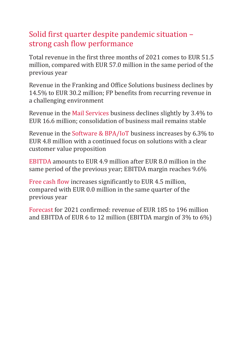# Solid first quarter despite pandemic situation – strong cash flow performance

Total revenue in the first three months of 2021 comes to EUR 51.5 million, compared with EUR 57.0 million in the same period of the previous year

Revenue in the Franking and Office Solutions business declines by 14.5% to EUR 30.2 million; FP benefits from recurring revenue in a challenging environment

Revenue in the Mail Services business declines slightly by 3.4% to EUR 16.6 million; consolidation of business mail remains stable

Revenue in the Software & BPA/IoT business increases by 6.3% to EUR 4.8 million with a continued focus on solutions with a clear customer value proposition

EBITDA amounts to EUR 4.9 million after EUR 8.0 million in the same period of the previous year; EBITDA margin reaches 9.6%

Free cash flow increases significantly to EUR 4.5 million, compared with EUR 0.0 million in the same quarter of the previous year

Forecast for 2021 confirmed: revenue of EUR 185 to 196 million and EBITDA of EUR 6 to 12 million (EBITDA margin of 3% to 6%)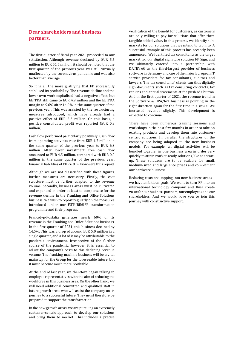# **Dear shareholders and business partners,**

The first quarter of fiscal year 2021 proceeded to our satisfaction. Although revenue declined by EUR 5.5 million to EUR 51.5 million, it should be noted that the first quarter of the previous year was still virtually unaffected by the coronavirus pandemic and was also better than average.

So it is all the more gratifying that FP successfully stabilised its profitability. The revenue decline and the lower own work capitalised had a negative effect, but EBITDA still came to EUR 4.9 million and the EBITDA margin to 9.6% after 14.0% in the same quarter of the previous year. This was assisted by the restructuring measures introduced, which have already had a positive effect of EUR 2.3 million. On this basis, a positive consolidated profit was reported (EUR 0.9 million).

Cash flow performed particularly positively. Cash flow from operating activities rose from EUR 4.7 million in the same quarter of the previous year to EUR 6.3 million. After lower investment, free cash flow amounted to EUR 4.5 million, compared with EUR 0.0 million in the same quarter of the previous year. Financial liabilities of EUR 6.9 million were thus repaid.

Although we are not dissatisfied with these figures, further measures are necessary. Firstly, the cost structure must be further adapted to the revenue volume. Secondly, business areas must be cultivated and expanded in order at least to compensate for the revenue decline in the Franking and Office Solutions business. We wish to report regularly on the measures introduced under our FUTURE@FP transformation programme and their progress.

Francotyp-Postalia generates nearly 60% of its revenue in the Franking and Office Solutions business. In the first quarter of 2021, this business declined by 14.5%. This was a drop of around EUR 5.0 million in a single quarter, and a lot of it may be attributable to the pandemic environment. Irrespective of the further course of the pandemic, however, it is essential to adjust the company's costs to this declining revenue volume. The franking machine business will be a vital mainstay for the Group for the foreseeable future, but it must become much more profitable.

At the end of last year, we therefore began talking to employee representatives with the aim of reducing the workforce in this business area. On the other hand, we will need additional committed and qualified staff in future growth areas who will assist the company on its journey to a successful future. They must therefore be prepared to support the transformation.

In the new growth areas, we are pursuing an extremely customer-centric approach to develop our solutions and bring them to market. This includes a precise

verification of the benefit for customers, as customers are only willing to pay for solutions that offer them tangible added value. In this process, we identify submarkets for our solutions that we intend to tap into. A successful example of this process has recently been announced: We identified tax consultants as the target market for our digital signature solution FP Sign, and we ultimately entered into a partnership with DATEV eG as the third-largest provider of business software in Germany and one of the major European IT service providers for tax consultants, auditors and lawyers. The tax consultants' clients can thus digitally sign documents such as tax consulting contracts, tax returns and annual statements at the push of a button. And in the first quarter of 2021, the revenue trend in the Software & BPA/IoT business is pointing in the right direction again for the first time in a while. We increased revenue slightly. This development is expected to continue.

There have been numerous training sessions and workshops in the past few months in order to take on existing products and develop them into customercentric solutions. In parallel, the structures of the company are being adapted to the new business models. For example, all digital activities will be bundled together in one business area in order very quickly to attain market-ready solutions, like at a startup. These solutions are to be scalable for small, medium-sized and large enterprises and complement our hardware business.

Reducing costs and tapping into new business areas – we have ambitious goals. We want to turn FP into an international technology company and thus create value for our business partners, our employees and our shareholders. And we would love you to join this journey with constructive support.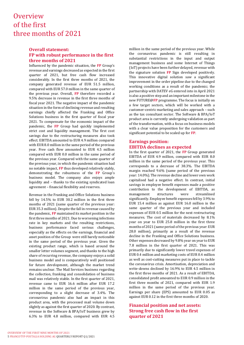# **Overview** of the first three months of 2021

### **Overall statement: FP with robust performance in the first three months of 2021**

Influenced by the pandemic situation, the **FP** Group's revenue and earnings decreased as expected in the first quarter of 2021, but free cash flow increased considerably. In the first three months of 2021, the company generated revenue of EUR 51.5 million, compared with EUR 57.0 million in the same quarter of the previous year. Overall, **FP** therefore recorded a 9.5% decrease in revenue in the first three months of fiscal year 2021. The negative impact of the pandemic situation in the form of declining revenue and resulting earnings chiefly affected the Franking and Office Solutions business in the first quarter of fiscal year 2021. To compensate for the economic impact of the pandemic, the **FP** Group had quickly implemented strict cost and liquidity management. The first cost savings due to the restructuring measures also took effect. EBITDA amounted to EUR 4.9 million compared with EUR 8.0 million in the same period of the previous year. Free cash flow amounted to EUR 4.5 million compared with EUR 0.0 million in the same period of the previous year. Compared with the same quarter of the previous year, in which the pandemic situation had no notable impact, **FP** thus developed relatively stably, demonstrating the robustness of the **FP** Group's business model. The company also enjoys ample liquidity and – thanks to the existing syndicated loan agreement – financial flexibility and reserves.

Revenue in the Franking and Office Solutions business fell by 14.5% to EUR 30.2 million in the first three months of 2021 (same quarter of the previous year: EUR 35.3 million). Despite the fall in revenue caused by the pandemic, **FP** maintained its market position in the first three months of 2021. Due to worsening infections rate in key markets and the resulting restrictions, business performance faced serious challenges, especially as the effects on the earnings, financial and asset position of the Group were still barely noticeable in the same period of the previous year. Given the existing product range, which is based around the smaller letter volumes segment, and thanks to the high share of recurring revenue, the company enjoys a solid business model and is comparatively well positioned for future development, although the market trend remains unclear. The Mail Services business regarding the collection, franking and consolidation of business mail was relatively stable. In the first quarter of 2021, revenue came to EUR 16.6 million after EUR 17.2 million in the same period of the previous year, corresponding to a slight decrease of 3.4%. The coronavirus pandemic also had an impact in this product area, with the processed mail volume down slightly as against the first quarter of 2020. By contrast, revenue in the Software & BPA/IoT business grew by 6.3% to EUR 4.8 million, compared with EUR 4.5

million in the same period of the previous year. While the coronavirus pandemic is still resulting in substantial restrictions in the input and output management business and some Internet of Things (IoT) projects have been further delayed, revenue with the signature solution **FP** Sign developed positively. This innovative digital solution saw a significant improvement in the order pipeline due to the changed working conditions as a result of the pandemic; the partnership with DATEV eG entered into in April 2021 is also a positive step and an important milestone in the new FUTURE@**FP** programme. The focus is initially on a few target sectors, which will be worked with a customer-centric marketing and sales approach – such as the tax consultant sector. The Software & BPA/IoT product area is currently undergoing validation as part of the transformation, with a focus on business models with a clear value proposition for the customers and significant potential to be scaled up for **FP**.

### **Earnings position: EBITDA declines as expected**

In the first quarter of 2021, the **FP** Group generated EBITDA of EUR 4.9 million, compared with EUR 8.0 million in the same period of the previous year. This corresponds to a decrease of 38.3%. The EBITDA margin reached 9.6% (same period of the previous year: 14.0%). The revenue decline and lower own work capitalised had a negative effect. In contrast, initial savings in employee benefit expenses made a positive contribution to the development of EBITDA, as management structures were streamlined significantly. Employee benefit expenses fell by 3.9% to EUR 15.4 million as against EUR 16.0 million in the same quarter of the previous year and included expenses of EUR 0.5 million for the next restructuring measures. The cost of materials decreased by 8.1% year on year to EUR 25.8 million in the first three months of 2021 (same period of the previous year: EUR 28.0 million), primarily as a result of the revenue decline in the Franking and Office Solutions business. Other expenses decreased by 9.8% year on year to EUR 7.8 million in the first quarter of 2021. This was primarily due to significantly lower travel expenses of EUR 0.4 million and marketing costs of EUR 0.4 million as well as cost-cutting measures put in place to tackle the coronavirus crisis. Amortisation, depreciation and write-downs declined by 16.9% to EUR 4.5 million in the first three months of 2021. As a result of EBITDA, consolidated profit amounted to EUR 0.9 million in the first three months of 2021, compared with EUR 1.9 million in the same period of the previous year. Earnings per share (EPS) amounted to EUR 0.05 as against EUR 0.12 in the first three months of 2020.

### **Financial position and net assets: Strong free cash flow in the first quarter of 2021**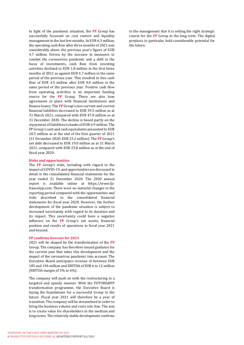In light of the pandemic situation, the **FP** Group has successfully focussed on cost control and liquidity management in the last few months. At EUR 6.3 million, the operating cash flow after three months of 2021 was considerably above the previous year's figure of EUR 4.7 million. Driven by the increase in measures to combat the coronavirus pandemic and a shift in the focus of investments, cash flow from investing activities declined to EUR 1.8 million in the first three months of 2021 as against EUR 4.7 million in the same period of the previous year. This resulted in free cash flow of EUR 4.5 million after EUR 0.0 million in the same period of the previous year. Positive cash flow from operating activities is an important funding source for the **FP** Group. There are also loan agreements in place with financial institutions and finance leases. The **FP** Group's non-current and current financial liabilities decreased to EUR 39.5 million as at 31 March 2021, compared with EUR 47.0 million as at 31 December 2020. The decline is based partly on the repayment of liabilities to banks of EUR 6.9 million. The FP Group's cash and cash equivalents amounted to EUR 20.5 million as at the end of the first quarter of 2021 (31 December 2020: EUR 23.2 million). The **FP** Group's net debt decreased to EUR 19.0 million as at 31 March 2021, compared with EUR 23.8 million as at the end of fiscal year 2020.

### **Risks and opportunities**

The **FP** Group's risks, including with regard to the impact of COVID-19, and opportunities are discussed in detail in the consolidated financial statements for the year ended 31 December 2020. The 2020 annual report is available online at https://www.fpfrancotyp.com. There were no material changes in the reporting period compared with the opportunities and risks described in the consolidated financial statements for fiscal year 2020. However, the further development of the pandemic situation is subject to increased uncertainty with regard to its duration and its impact. This uncertainty could have a negative influence on the **FP** Group's net assets, financial position and results of operations in fiscal year 2021 and beyond.

#### **FP confirms forecast for 2021**

2021 will be shaped by the transformation of the **FP** Group. The company has therefore issued guidance for the current year that takes this development and the impact of the coronavirus pandemic into account. The Executive Board anticipates revenue of between EUR 185 and 196 million and EBITDA of EUR 6 to 12 million (EBITDA margin of 3% to 6%).

The company will push on with the restructuring in a targeted and speedy manner. With the FUTURE@FP transformation programme, the Executive Board is laying the foundations for a successful Group in the future. Fiscal year 2021 will therefore be a year of transition. The company will be streamlined in order to bring the business volume and costs into line. The aim is to create value for shareholders in the medium and long terms. The relatively stable development confirms

to the management that it is setting the right strategic course for the **FP** Group in the long term. The digital products in particular hold considerable potential for the future.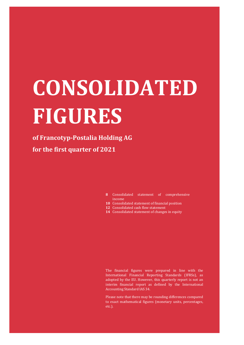# **CONSOLIDATED FIGURES**

# **of Francotyp-Postalia Holding AG for the first quarter of 2021**

- 8 Consolidated statement of comprehensive income
- 10 Consolidated statement of financial position
- **12** Consolidated cash flow statement
- **14** Consolidated statement of changes in equity

The financial figures were prepared in line with the International Financial Reporting Standards (IFRSs), as adopted by the EU. However, this quarterly report is not an interim financial report as defined by the International Accounting Standard IAS 34.

Please note that there may be rounding differences compared to exact mathematical figures (monetary units, percentages, etc.).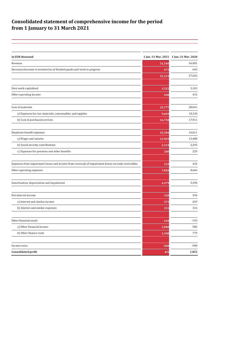# **Consolidated statement of comprehensive income for the period from 1 January to 31 March 2021**

| in EUR thousand                                                                                     | 1 Jan.-31 Mar. 2021 | 1 Jan. 31 Mar. 2020 |
|-----------------------------------------------------------------------------------------------------|---------------------|---------------------|
| Revenue                                                                                             | 51,540              | 56,981              |
| Decrease/increase in inventories of finished goods and work in progress                             | 673                 | 645                 |
|                                                                                                     | 52,213              | 57,626              |
|                                                                                                     |                     |                     |
| Own work capitalised                                                                                | 1,522               | 3,103               |
| Other operating income                                                                              | 498                 | 412                 |
| Cost of materials                                                                                   | 25,777              | 28,041              |
| a) Expenses for raw materials, consumables and supplies                                             | 9,049               | 10,130              |
| b) Cost of purchased services                                                                       | 16,728              | 17,911              |
| Employee benefit expenses                                                                           | 15,384              | 16,011              |
| a) Wages and salaries                                                                               | 12,969              | 13,488              |
| b) Social security contributions                                                                    | 2,214               | 2,293               |
| c) Expenses for pensions and other benefits                                                         | 200                 | 229                 |
| Expenses from impairment losses and income from reversals of impairment losses on trade receivables | 319                 | 424                 |
| Other operating expenses                                                                            | 7,820               | 8,666               |
| Amortisation, depreciation and impairment                                                           | 4,479               | 5,390               |
| Net interest income                                                                                 | 320                 | 344                 |
| a) Interest and similar income                                                                      | 573                 | 659                 |
| b) Interest and similar expenses                                                                    | 253                 | 316                 |
| Other financial result                                                                              | 610                 | $-193$              |
| a) Other financial income                                                                           | 2,008               | 586                 |
| b) Other finance costs                                                                              | 1,398               | 779                 |
|                                                                                                     |                     |                     |
| Income taxes                                                                                        | $-508$              | $-908$              |
| <b>Consolidated profit</b>                                                                          | 875                 | 1,852               |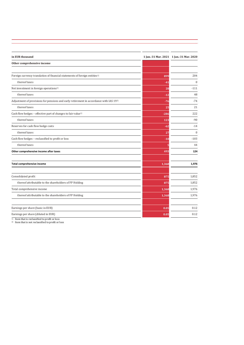| in EUR thousand                                                                        |        | 1 Jan.-31 Mar. 2021 1 Jan.-31 Mar. 2020 |
|----------------------------------------------------------------------------------------|--------|-----------------------------------------|
| Other comprehensive income                                                             |        |                                         |
|                                                                                        |        |                                         |
| Foreign currency translation of financial statements of foreign entities <sup>1)</sup> | 899    | 204                                     |
| thereof taxes                                                                          | $-41$  | $\theta$                                |
| Net investment in foreign operations <sup>1)</sup>                                     | 28     | $-111$                                  |
| thereof taxes                                                                          | -12    | 48                                      |
| Adjustment of provisions for pensions and early retirement in accordance with IAS 192) | -76    | $-74$                                   |
| thereof taxes                                                                          | 25     | 21                                      |
| Cash flow hedges - effective part of changes to fair value <sup>1)</sup>               | $-286$ | 222                                     |
| thereof taxes                                                                          | 123    | $-90$                                   |
| Reserves for cash flow hedge costs                                                     | $-62$  | $-14$                                   |
| thereof taxes                                                                          | 27     | $\mathbf{0}$                            |
| Cash flow hedges - reclassified to profit or loss                                      | $-10$  | $-103$                                  |
| thereof taxes                                                                          |        | 44                                      |
| Other comprehensive income after taxes                                                 | 493    | 124                                     |
| <b>Total comprehensive income</b>                                                      | 1,368  | 1,976                                   |
| Consolidated profit                                                                    | 875    | 1,852                                   |
| thereof attributable to the shareholders of FP Holding                                 | 875    | 1,852                                   |
| Total comprehensive income                                                             | 1,368  | 1,976                                   |
| thereof attributable to the shareholders of FP Holding                                 | 1,368  | 1,976                                   |
| Earnings per share (basic in EUR)                                                      | 0.05   | 0.12                                    |
| Earnings per share (diluted in EUR)                                                    | 0.05   | 0.12                                    |
| $1)$ Itam that is realessified to profit or loss                                       |        |                                         |

<sup>1)</sup> Item that is reclassified to profit or loss<br><sup>2)</sup> Item that is not reclassified to profit or loss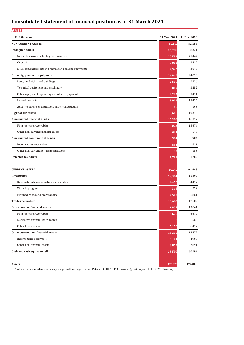# **Consolidated statement of financial position as at 31 March 2021**

| <b>ASSETS</b>                                         |         |                           |
|-------------------------------------------------------|---------|---------------------------|
| in EUR thousand                                       |         | 31 Mar. 2021 31 Dec. 2020 |
| <b>NON-CURRENT ASSETS</b>                             | 80,310  | 82,154                    |
| Intangible assets                                     | 26,778  | 28,321                    |
| Intangible assets including customer lists            | 20,553  | 21,449                    |
| Goodwill                                              | 3,883   | 3,829                     |
| Development projects in progress and advance payments | 2,342   | 3,043                     |
| Property, plant and equipment                         | 24,842  | 24,898                    |
| Land, land rights and buildings                       | 2,500   | 2,556                     |
| Technical equipment and machinery                     | 3,007   | 3,252                     |
| Other equipment, operating and office equipment       | 3,265   | 3,471                     |
| Leased products                                       | 15,905  | 15,455                    |
| Advance payments and assets under construction        | 165     | 163                       |
| <b>Right of use assets</b>                            | 9,606   | 10,345                    |
| Non-current financial assets                          | 16,306  | 16,317                    |
| Finance lease receivables                             | 16,023  | 15,674                    |
| Other non-current financial assets                    | 284     | 643                       |
| Non-current non-financial assets                      | 984     | 984                       |
| Income taxes receivable                               | 831     | 831                       |
| Other non-current non-financial assets                | 153     | 153                       |
| Deferred tax assets                                   | 1,793   | 1,289                     |
|                                                       |         |                           |
| <b>CURRENT ASSETS</b>                                 | 90,660  | 91,845                    |
| Inventories                                           | 12,314  | 11,509                    |
| Raw materials, consumables and supplies               | 4,456   | 4,417                     |
| Work in progress                                      | 315     | 232                       |
| Finished goods and merchandise                        | 7,543   | 6,861                     |
| <b>Trade receivables</b>                              | 18,668  | 17,689                    |
| Other current financial assets                        | 11,831  | 13,661                    |
| Finance lease receivables                             | 6,675   | 6,679                     |
| Derivative financial instruments                      |         | 566                       |
| Other financial assets                                | 5,156   | 6,417                     |
| Other current non-financial assets                    | 14,256  | 12,877                    |
| Income taxes receivable                               | 5,404   | 4,986                     |
| Other non-financial assets                            | 8,852   | 7,891                     |
| Cash and cash equivalents <sup>1)</sup>               | 33,590  | 36,109                    |
|                                                       |         |                           |
| Assets                                                | 170,970 | 174,000                   |

<sup>1</sup> Cash and cash equivalents includes postage credit managed by the FP Group of EUR 13,114 thousand (previous year: EUR 12,929 thousand).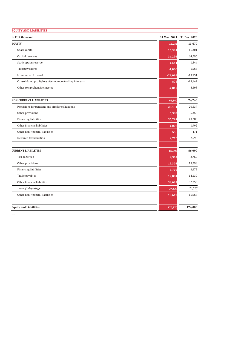| <b>EQUITY AND LIABILITIES</b>                            |           |                           |
|----------------------------------------------------------|-----------|---------------------------|
| in EUR thousand                                          |           | 31 Mar. 2021 31 Dec. 2020 |
| <b>EQUITY</b>                                            | 15,038    | 13,670                    |
| Share capital                                            | 16,301    | 16,301                    |
| Capital reserves                                         | 34,296    | 34,296                    |
| Stock option reserve                                     | 1,544     | 1,544                     |
| Treasury shares                                          | $-1,066$  | $-1,066$                  |
| Loss carried forward                                     | $-29,098$ | $-13,951$                 |
| Consolidated profit/loss after non-controlling interests | 875       | $-15,147$                 |
| Other comprehensive income                               | $-7,815$  | $-8,308$                  |
| <b>NON-CURRENT LIABILITIES</b>                           | 66,840    | 74,240                    |
| Provisions for pensions and similar obligations          | 20,434    | 20,537                    |
| Other provisions                                         | 5,383     | 5,358                     |
| <b>Financing liabilities</b>                             | 35,791    | 43,288                    |
| Other financial liabilities                              | 1,897     | 1,992                     |
| Other non-financial liabilities                          | 558       | 471                       |
| Deferred tax liabilities                                 | 2,776     | 2,595                     |
| <b>CURRENT LIABILITIES</b>                               | 89,092    | 86,090                    |
| Tax liabilities                                          | 4,503     | 3,767                     |
| Other provisions                                         | 15,301    | 15,793                    |
| <b>Financing liabilities</b>                             | 3,705     | 3,675                     |
| Trade payables                                           | 12,881    | 14,139                    |
| Other financial liabilities                              | 33,085    | 32,750                    |
| thereof telepostage                                      | 27,524    | 26,525                    |
| Other non-financial liabilities                          | 19,617    | 15,966                    |
| <b>Equity and Liabilities</b>                            | 170,970   | 174,000                   |

…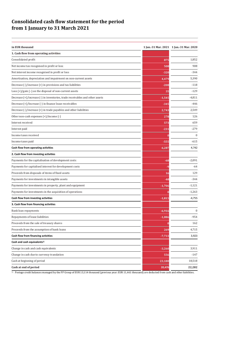# **Consolidated cash flow statement for the period from 1 January to 31 March 2021**

| in EUR thousand                                                                                                 |          | 1 Jan.-31 Mar. 2021 1 Jan.-31 Mar. 2020 |
|-----------------------------------------------------------------------------------------------------------------|----------|-----------------------------------------|
| 1. Cash flow from operating activities                                                                          |          |                                         |
| Consolidated profit                                                                                             | 875      | 1,852                                   |
| Net income tax recognised in profit or loss                                                                     | 508      | 908                                     |
| Net interest income recognised in profit or loss                                                                | $-320$   | $-344$                                  |
| Amortisation, depreciation and impairment on non-current assets                                                 | 4,479    | 5,390                                   |
| Decrease (-)/increase (+) in provisions and tax liabilities                                                     | $-208$   | $-118$                                  |
| Loss $(+)/$ gain $(-)$ on the disposal of non-current assets                                                    | 35       | $-129$                                  |
| Decrease (+)/increase (-) in inventories, trade receivables and other assets                                    | $-1,545$ | $-4,811$                                |
| Decrease (+)/Increase (-) in finance lease receivables                                                          | $-345$   | $-446$                                  |
| Decrease $\left(\frac{1}{1}\right)$ increase $\left(\frac{1}{1}\right)$ in trade payables and other liabilities | 2,743    | 2,549                                   |
| Other non-cash expenses (+)/income (-)                                                                          | 278      | 126                                     |
| Interest received                                                                                               | 573      | 659                                     |
| Interest paid                                                                                                   | $-231$   | $-279$                                  |
| Income taxes received                                                                                           |          | $\mathbf{0}$                            |
| Income taxes paid                                                                                               | $-555$   | $-615$                                  |
| Cash flow from operating activities                                                                             | 6,287    | 4,742                                   |
| 2. Cash flow from investing activities                                                                          |          |                                         |
| Payments for the capitalisation of development costs                                                            | $-68$    | $-2,091$                                |
| Payments for capitalised interest for development costs                                                         | -9       | -64                                     |
| Proceeds from disposals of items of fixed assets                                                                | 16       | 129                                     |
| Payments for investments in intangible assets                                                                   | -48      | $-344$                                  |
| Payments for investments in property, plant and equipment                                                       | $-1,706$ | $-1,121$                                |
| Payments for investments in the acquisition of operations                                                       |          | $-1,263$                                |
| Cash flow from investing activities                                                                             | $-1,815$ | $-4,755$                                |
| 3. Cash flow from financing activities                                                                          |          |                                         |
| Bank loan repayments                                                                                            | $-6,916$ | $\overline{0}$                          |
| Repayments of lease liabilities                                                                                 | $-1,086$ | $-954$                                  |
| Proceeds from the sale of treasury shares                                                                       |          | 162                                     |
| Proceeds from the assumption of bank loans                                                                      | 269      | 4,715                                   |
| Cash flow from financing activities                                                                             | $-7,733$ | 3,923                                   |
| Cash and cash equivalents <sup>1)</sup>                                                                         |          |                                         |
| Change in cash and cash equivalents                                                                             | $-3,260$ | 3,911                                   |
| Change in cash due to currency translation                                                                      | 556      | $-147$                                  |
| Cash at beginning of period                                                                                     | 23,180   | 18,518                                  |
| Cash at end of period                                                                                           | 20,476   | 22,282                                  |

<sup>1)</sup> Postage credit balances managed by the FP Group of EUR 13,114 thousand (previous year: EUR 11,461 thousand) are deducted from cash and other liabilities.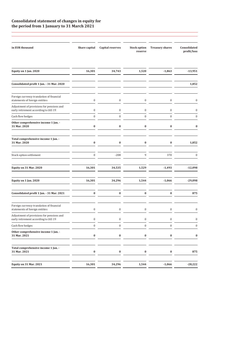### **Consolidated statement of changes in equity for the period from 1 January to 31 March 2021**

| in EUR thousand                                                                   | Share capital    | Capital reserves | <b>Stock option</b><br>reserve | <b>Treasury shares</b> | Consolidated<br>profit/loss |
|-----------------------------------------------------------------------------------|------------------|------------------|--------------------------------|------------------------|-----------------------------|
| Equity on 1 Jan. 2020                                                             | 16,301           | 34,743           | 1,520                          | $-1,863$               | $-13,951$                   |
| Consolidated profit 1 Jan. - 31 Mar. 2020                                         |                  |                  |                                |                        | 1,852                       |
| Foreign currency translation of financial<br>statements of foreign entities       | 0                | $\boldsymbol{0}$ | $\bf{0}$                       | 0                      | O                           |
| Adjustment of provisions for pensions and<br>early retirement according to IAS 19 | 0                | $\bf{0}$         | $\bf{0}$                       | 0                      | O                           |
| Cash flow hedges                                                                  | $\bf{0}$         | $\mathbf{0}$     | $\boldsymbol{0}$               | $\boldsymbol{0}$       | $\mathbf{0}$                |
| Other comprehensive income 1 Jan. -<br>31 Mar. 2020                               | $\boldsymbol{0}$ | $\bf{0}$         | $\bf{0}$                       | $\bf{0}$               | $\bf{0}$                    |
| Total comprehensive income 1 Jan. -<br>31 Mar. 2020                               | $\bf{0}$         | $\bf{0}$         | $\bf{0}$                       | $\bf{0}$               | 1,852                       |
| Stock option settlement                                                           | $\bf{0}$         | $-208$           | 9                              | 370                    | $\boldsymbol{0}$            |
| <b>Equity on 31 Mar. 2020</b>                                                     | 16,301           | 34,535           | 1,529                          | $-1,493$               | $-12,098$                   |
| Equity on 1 Jan. 2020                                                             | 16,301           | 34,296           | 1,544                          | $-1,066$               | $-29,098$                   |
| Consolidated profit 1 Jan. - 31 Mar. 2021                                         | $\boldsymbol{0}$ | $\pmb{0}$        | $\boldsymbol{0}$               | $\bf{0}$               | 875                         |
| Foreign currency translation of financial<br>statements of foreign entities       | $\boldsymbol{0}$ | $\boldsymbol{0}$ | $\boldsymbol{0}$               | $\boldsymbol{0}$       | $\boldsymbol{0}$            |
| Adjustment of provisions for pensions and<br>early retirement according to IAS 19 | 0                | $\boldsymbol{0}$ | $\boldsymbol{0}$               | $\boldsymbol{0}$       | $\boldsymbol{0}$            |
| Cash flow hedges                                                                  | $\boldsymbol{0}$ | $\boldsymbol{0}$ | $\boldsymbol{0}$               | $\boldsymbol{0}$       | $\boldsymbol{0}$            |
| Other comprehensive income 1 Jan. -<br>31 Mar. 2021                               | $\bf{0}$         | $\bf{0}$         | $\bf{0}$                       | $\pmb{0}$              | $\bf{0}$                    |
| Total comprehensive income 1 Jan. -<br>31 Mar. 2021                               | $\pmb{0}$        | $\pmb{0}$        | $\bf{0}$                       | $\bf{0}$               | 875                         |
| <b>Equity on 31 Mar. 2021</b>                                                     | 16,301           | 34,296           | 1,544                          | $-1,066$               | $-28,222$                   |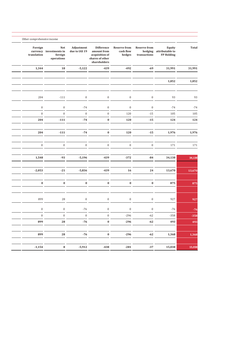| <b>Total</b> | Equity<br>attributable to<br><b>FP Holding</b> | <b>Reserve from</b><br>hedging<br>transactions | <b>Reserve from</b><br>cash flow<br>hedges | <b>Difference</b><br>amount from<br>acquisition of<br>shares of other<br>shareholders | Adjustment<br>due to IAS 19 | <b>Net</b><br>currency investments in<br>foreign<br>operations | Foreign<br>translation |
|--------------|------------------------------------------------|------------------------------------------------|--------------------------------------------|---------------------------------------------------------------------------------------|-----------------------------|----------------------------------------------------------------|------------------------|
| 31,991       | 31,991                                         | $-69$                                          | $-492$                                     | $-439$                                                                                | $-5,122$                    | 18                                                             | 1,344                  |
| 1,852        | 1,852                                          |                                                |                                            |                                                                                       |                             |                                                                |                        |
|              |                                                |                                                |                                            |                                                                                       |                             |                                                                |                        |
| 93           | 93                                             | $\boldsymbol{0}$                               | $\boldsymbol{0}$                           | $\mathbf{0}$                                                                          | $\boldsymbol{0}$            | $-111$                                                         | 204                    |
| $-74$        | $-74$                                          | $\boldsymbol{0}$                               | $\boldsymbol{0}$                           | $\boldsymbol{0}$                                                                      | $-74$                       | $\boldsymbol{0}$                                               | $\boldsymbol{0}$       |
| 105          | 105                                            | $-15$                                          | 120                                        | $\mathbf 0$                                                                           | $\boldsymbol{0}$            | $\boldsymbol{0}$                                               | $\mathbf 0$            |
| 124          | 124                                            | $-15$                                          | 120                                        | $\pmb{0}$                                                                             | $-74$                       | $-111$                                                         | 204                    |
| 1,976        | 1,976                                          | $-15$                                          | 120                                        | $\pmb{0}$                                                                             | $-74$                       | $-111$                                                         | 204                    |
| 171          | 171                                            | $\boldsymbol{0}$                               | $\bf{0}$                                   | $\boldsymbol{0}$                                                                      | $\bf{0}$                    | $\boldsymbol{0}$                                               | $\bf{0}$               |
| 34,138       | 34,138                                         | $-84$                                          | $-372$                                     | $-439$                                                                                | $-5,196$                    | $-93$                                                          | 1,548                  |
| 13,670       | 13,670                                         | 24                                             | 16                                         | $-439$                                                                                | $-5,836$                    | $-21$                                                          | $-2,053$               |
|              |                                                |                                                |                                            |                                                                                       |                             |                                                                |                        |
| 875          | 875                                            | $\bf{0}$                                       | $\bf{0}$                                   | $\bf{0}$                                                                              | $\pmb{0}$                   | $\pmb{0}$                                                      | $\pmb{0}$              |
| 927          | 927                                            | $\boldsymbol{0}$                               | $\boldsymbol{0}$                           | $\boldsymbol{0}$                                                                      | $\boldsymbol{0}$            | 28                                                             | 899                    |
| $-76$        | $-76$                                          | $\boldsymbol{0}$                               | $\bf{0}$                                   | $\boldsymbol{0}$                                                                      | $-76$                       | $\boldsymbol{0}$                                               | $\bf{0}$               |
| $-358$       | $-358$                                         | $-62$                                          | $-296$                                     | $\mathbf{0}$                                                                          | $\boldsymbol{0}$            | $\mathbf{0}$                                                   | $\boldsymbol{0}$       |
| 493          | 493                                            | $-62$                                          | $-296$                                     | $\pmb{0}$                                                                             | $-76$                       | 28                                                             | 899                    |
| 1,368        | 1,368                                          | $-62$                                          | $-296$                                     | $\pmb{0}$                                                                             | $-76$                       | ${\bf 28}$                                                     | 899                    |
|              |                                                |                                                |                                            |                                                                                       |                             |                                                                |                        |
| 15,038       | 15,038                                         | $\textbf{-37}$                                 | $-281$                                     | $-438$                                                                                | $-5,912$                    | ${\bf 8}$                                                      | $-1,154$               |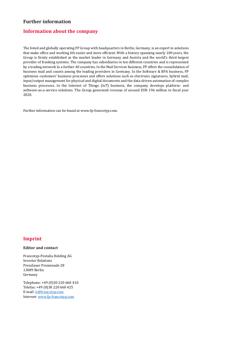# **Further information**

# **Information about the company**

The listed and globally operating FP Group with headquarters in Berlin, Germany, is an expert in solutions that make office and working life easier and more efficient. With a history spanning nearly 100 years, the Group is firmly established as the market leader in Germany and Austria and the world's third-largest provider of franking systems. The company has subsidiaries in ten different countries and is represented by a trading network in a further 40 countries. In the Mail Services business, FP offers the consolidation of business mail and counts among the leading providers in Germany. In the Software & BPA business, FP optimises customers' business processes and offers solutions such as electronic signatures, hybrid mail, input/output management for physical and digital documents and the data-driven automation of complex business processes. In the Internet of Things (IoT) business, the company develops platform- and software-as-a-service solutions. The Group generated revenue of around EUR 196 million in fiscal year 2020.

Further information can be found at www.fp-francotyp.com.

# **Imprint**

### **Editor and contact**

Francotyp-Postalia Holding AG Investor Relations Prenzlauer Promenade 28 13089 Berlin Germany

Telephone: +49 (0)30 220 660 410 Telefax: +49 (0)30 220 660 425 E-mail[: ir@francotyp.com](mailto:ir@francotyp.com) Internet[: www.fp-francotyp.com](http://www.fp-francotyp.com/)